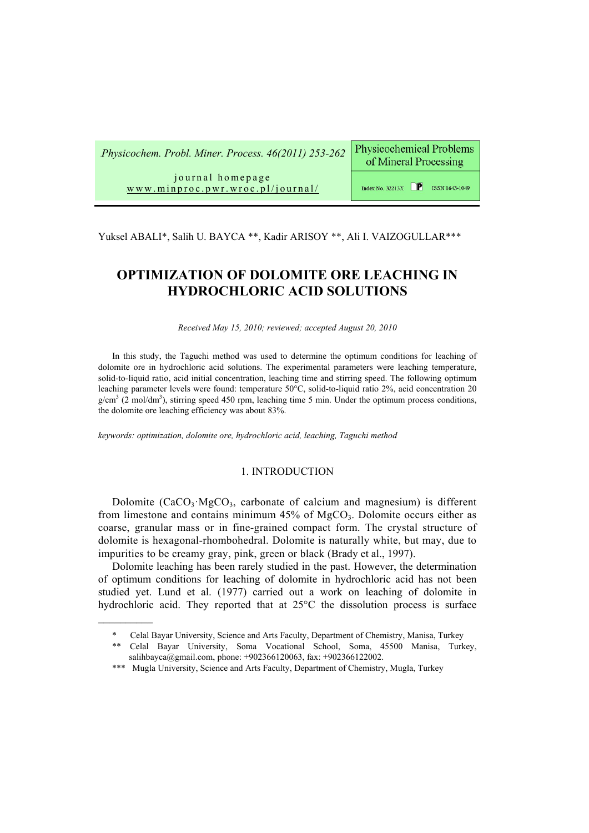0B*Physicochem. Probl. Miner. Process. 46(2011) 253-262* 

**Physicochemical Problems** of Mineral Processing

journal homepage Hwww.minproc.pwr.wroc.pl/journal/

Index No. 32213X  $\Box$  ISSN 1643-1049

Yuksel ABALI\*, Salih U. BAYCA \*\*, Kadir ARISOY \*\*, Ali I. VAIZOGULLAR\*\*\*

# **OPTIMIZATION OF DOLOMITE ORE LEACHING IN HYDROCHLORIC ACID SOLUTIONS**

*Received May 15, 2010; reviewed; accepted August 20, 2010*

In this study, the Taguchi method was used to determine the optimum conditions for leaching of dolomite ore in hydrochloric acid solutions. The experimental parameters were leaching temperature, solid-to-liquid ratio, acid initial concentration, leaching time and stirring speed. The following optimum leaching parameter levels were found: temperature 50°C, solid-to-liquid ratio 2%, acid concentration 20  $g/cm<sup>3</sup>$  (2 mol/dm<sup>3</sup>), stirring speed 450 rpm, leaching time 5 min. Under the optimum process conditions, the dolomite ore leaching efficiency was about 83%.

*keywords: optimization, dolomite ore, hydrochloric acid, leaching, Taguchi method* 

## 1. INTRODUCTION

Dolomite  $(CaCO<sub>3</sub>·MgCO<sub>3</sub>$ , carbonate of calcium and magnesium) is different from limestone and contains minimum  $45%$  of MgCO<sub>3</sub>. Dolomite occurs either as coarse, granular mass or in fine-grained compact form. The crystal structure of dolomite is hexagonal-rhombohedral. Dolomite is naturally white, but may, due to impurities to be creamy gray, pink, green or black (Brady et al., 1997).

Dolomite leaching has been rarely studied in the past. However, the determination of optimum conditions for leaching of dolomite in hydrochloric acid has not been studied yet. Lund et al. (1977) carried out a work on leaching of dolomite in hydrochloric acid. They reported that at 25°C the dissolution process is surface

<sup>\*</sup> Celal Bayar University, Science and Arts Faculty, Department of Chemistry, Manisa, Turkey

<sup>\*\*</sup> Celal Bayar University, Soma Vocational School, Soma, 45500 Manisa, Turkey, salihbayca@gmail.com, phone: +902366120063, fax: +902366122002.

<sup>\*\*\*</sup> Mugla University, Science and Arts Faculty, Department of Chemistry, Mugla, Turkey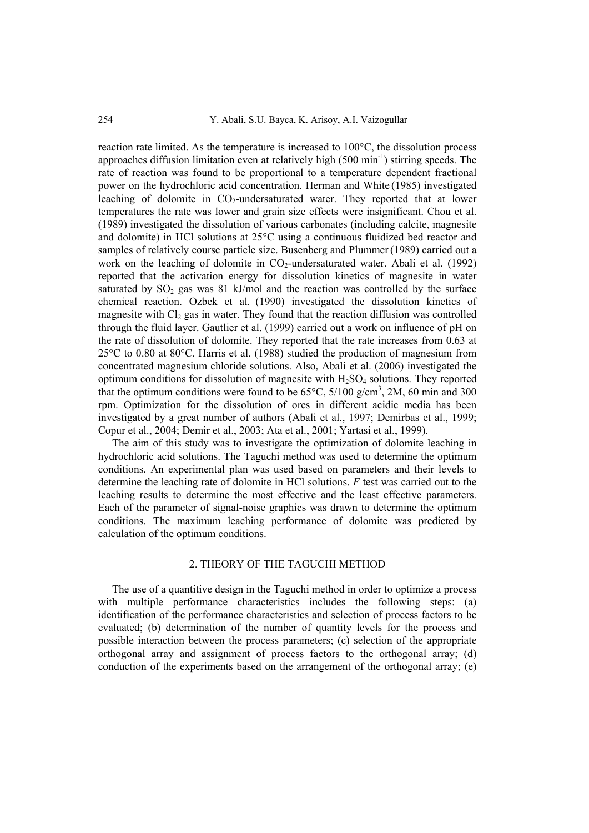reaction rate limited. As the temperature is increased to 100°C, the dissolution process approaches diffusion limitation even at relatively high  $(500 \text{ min}^{-1})$  stirring speeds. The rate of reaction was found to be proportional to a temperature dependent fractional power on the hydrochloric acid concentration. Herman and White (1985) investigated leaching of dolomite in CO<sub>2</sub>-undersaturated water. They reported that at lower temperatures the rate was lower and grain size effects were insignificant. Chou et al. (1989) investigated the dissolution of various carbonates (including calcite, magnesite and dolomite) in HCl solutions at 25°C using a continuous fluidized bed reactor and samples of relatively course particle size. Busenberg and Plummer(1989) carried out a work on the leaching of dolomite in  $CO<sub>2</sub>$ -undersaturated water. Abali et al. (1992) reported that the activation energy for dissolution kinetics of magnesite in water saturated by  $SO_2$  gas was  $81 \text{ kJ/mol}$  and the reaction was controlled by the surface chemical reaction. Ozbek et al. (1990) investigated the dissolution kinetics of magnesite with  $Cl_2$  gas in water. They found that the reaction diffusion was controlled through the fluid layer. Gautlier et al. (1999) carried out a work on influence of pH on the rate of dissolution of dolomite. They reported that the rate increases from 0.63 at 25°C to 0.80 at 80°C. Harris et al. (1988) studied the production of magnesium from concentrated magnesium chloride solutions. Also, Abali et al. (2006) investigated the optimum conditions for dissolution of magnesite with  $H_2SO_4$  solutions. They reported that the optimum conditions were found to be  $65^{\circ}$ C,  $5/100$  g/cm<sup>3</sup>, 2M, 60 min and 300 rpm. Optimization for the dissolution of ores in different acidic media has been investigated by a great number of authors (Abali et al., 1997; Demirbas et al., 1999; Copur et al., 2004; Demir et al., 2003; Ata et al., 2001; Yartasi et al., 1999).

The aim of this study was to investigate the optimization of dolomite leaching in hydrochloric acid solutions. The Taguchi method was used to determine the optimum conditions. An experimental plan was used based on parameters and their levels to determine the leaching rate of dolomite in HCl solutions. *F* test was carried out to the leaching results to determine the most effective and the least effective parameters. Each of the parameter of signal-noise graphics was drawn to determine the optimum conditions. The maximum leaching performance of dolomite was predicted by calculation of the optimum conditions.

## 2. THEORY OF THE TAGUCHI METHOD

The use of a quantitive design in the Taguchi method in order to optimize a process with multiple performance characteristics includes the following steps: (a) identification of the performance characteristics and selection of process factors to be evaluated; (b) determination of the number of quantity levels for the process and possible interaction between the process parameters; (c) selection of the appropriate orthogonal array and assignment of process factors to the orthogonal array; (d) conduction of the experiments based on the arrangement of the orthogonal array; (e)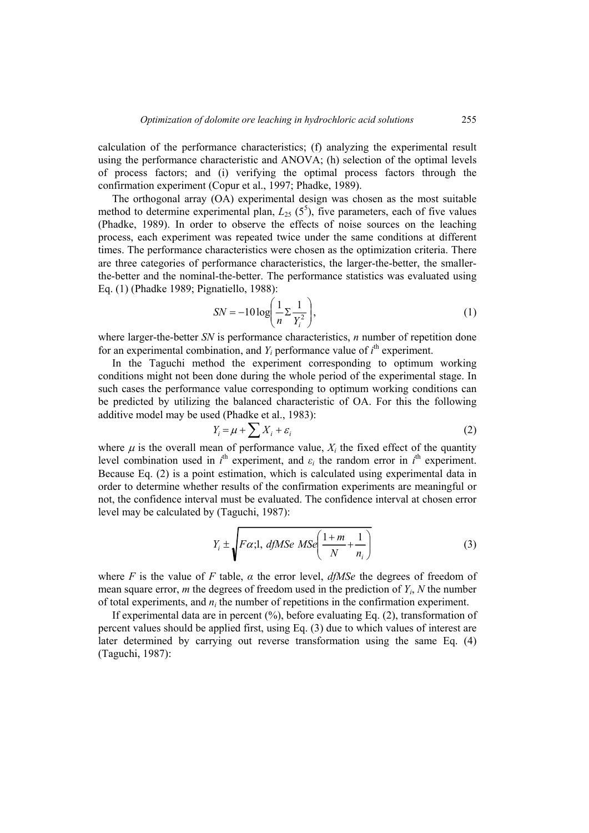calculation of the performance characteristics; (f) analyzing the experimental result using the performance characteristic and ANOVA; (h) selection of the optimal levels of process factors; and (i) verifying the optimal process factors through the confirmation experiment (Copur et al., 1997; Phadke, 1989).

The orthogonal array (OA) experimental design was chosen as the most suitable method to determine experimental plan,  $L_{25}$  ( $5^5$ ), five parameters, each of five values (Phadke, 1989). In order to observe the effects of noise sources on the leaching process, each experiment was repeated twice under the same conditions at different times. The performance characteristics were chosen as the optimization criteria. There are three categories of performance characteristics, the larger-the-better, the smallerthe-better and the nominal-the-better. The performance statistics was evaluated using Eq. (1) (Phadke 1989; Pignatiello, 1988):

$$
SN = -10 \log \left( \frac{1}{n} \sum \frac{1}{Y_i^2} \right),\tag{1}
$$

where larger-the-better *SN* is performance characteristics, *n* number of repetition done for an experimental combination, and  $Y_i$  performance value of  $i<sup>th</sup>$  experiment.

In the Taguchi method the experiment corresponding to optimum working conditions might not been done during the whole period of the experimental stage. In such cases the performance value corresponding to optimum working conditions can be predicted by utilizing the balanced characteristic of OA. For this the following additive model may be used (Phadke et al., 1983):

$$
Y_i = \mu + \sum X_i + \varepsilon_i \tag{2}
$$

where  $\mu$  is the overall mean of performance value,  $X_i$  the fixed effect of the quantity level combination used in  $i^{\text{th}}$  experiment, and  $\varepsilon_i$  the random error in  $i^{\text{th}}$  experiment. Because Eq. (2) is a point estimation, which is calculated using experimental data in order to determine whether results of the confirmation experiments are meaningful or not, the confidence interval must be evaluated. The confidence interval at chosen error level may be calculated by (Taguchi, 1987):

$$
Y_i \pm \sqrt{F\alpha_i 1, dfMSe\,MSe}\left(\frac{1+m}{N} + \frac{1}{n_i}\right) \tag{3}
$$

where *F* is the value of *F* table,  $\alpha$  the error level,  $df\mathit{MSe}$  the degrees of freedom of mean square error, *m* the degrees of freedom used in the prediction of  $Y_i$ ,  $N$  the number of total experiments, and *ni* the number of repetitions in the confirmation experiment.

If experimental data are in percent (%), before evaluating Eq. (2), transformation of percent values should be applied first, using Eq. (3) due to which values of interest are later determined by carrying out reverse transformation using the same Eq. (4) (Taguchi, 1987):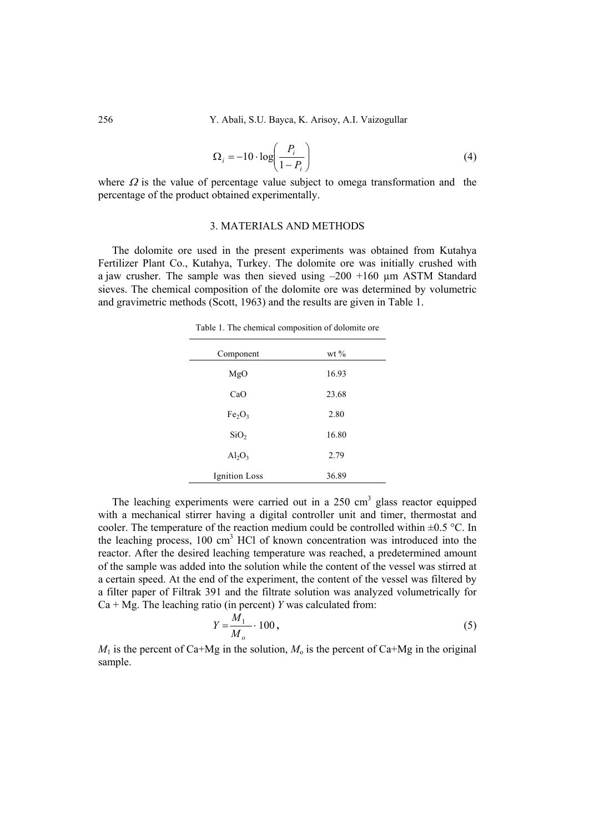$$
\Omega_i = -10 \cdot \log \left( \frac{P_i}{1 - P_i} \right) \tag{4}
$$

where  $\Omega$  is the value of percentage value subject to omega transformation and the percentage of the product obtained experimentally.

#### 3. MATERIALS AND METHODS

The dolomite ore used in the present experiments was obtained from Kutahya Fertilizer Plant Co., Kutahya, Turkey. The dolomite ore was initially crushed with a jaw crusher. The sample was then sieved using  $-200 +160$  µm ASTM Standard sieves. The chemical composition of the dolomite ore was determined by volumetric and gravimetric methods (Scott, 1963) and the results are given in Table 1.

Table 1. The chemical composition of dolomite ore

| Component                      | wt $\%$ |  |
|--------------------------------|---------|--|
|                                |         |  |
| MgO                            | 16.93   |  |
| CaO                            | 23.68   |  |
| Fe <sub>2</sub> O <sub>3</sub> | 2.80    |  |
| SiO <sub>2</sub>               | 16.80   |  |
| $Al_2O_3$                      | 2.79    |  |
| <b>Ignition</b> Loss           | 36.89   |  |
|                                |         |  |

The leaching experiments were carried out in a  $250 \text{ cm}^3$  glass reactor equipped with a mechanical stirrer having a digital controller unit and timer, thermostat and cooler. The temperature of the reaction medium could be controlled within  $\pm 0.5$  °C. In the leaching process,  $100 \text{ cm}^3$  HCl of known concentration was introduced into the reactor. After the desired leaching temperature was reached, a predetermined amount of the sample was added into the solution while the content of the vessel was stirred at a certain speed. At the end of the experiment, the content of the vessel was filtered by a filter paper of Filtrak 391 and the filtrate solution was analyzed volumetrically for Ca + Mg. The leaching ratio (in percent) *Y* was calculated from:

$$
Y = \frac{M_1}{M_o} \cdot 100\,,\tag{5}
$$

 $M_1$  is the percent of Ca+Mg in the solution,  $M_0$  is the percent of Ca+Mg in the original sample.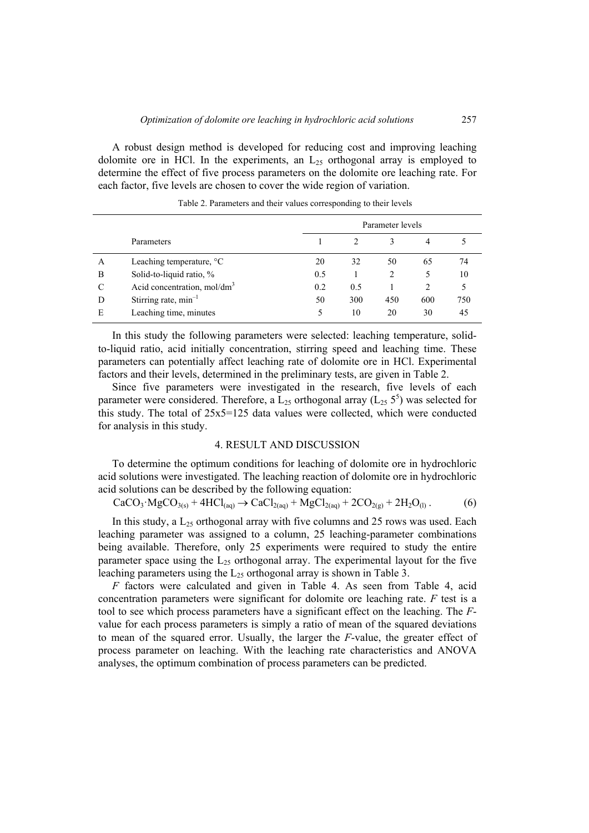A robust design method is developed for reducing cost and improving leaching dolomite ore in HCl. In the experiments, an  $L<sub>25</sub>$  orthogonal array is employed to determine the effect of five process parameters on the dolomite ore leaching rate. For each factor, five levels are chosen to cover the wide region of variation.

|   |                                    |     | Parameter levels |     |     |     |  |
|---|------------------------------------|-----|------------------|-----|-----|-----|--|
|   | Parameters                         |     |                  |     |     |     |  |
| A | Leaching temperature, $\mathrm{C}$ | 20  | 32               | 50  | 65  | 74  |  |
| B | Solid-to-liquid ratio, %           | 0.5 |                  | 2   | 5   | 10  |  |
| C | Acid concentration, $mol/dm3$      | 0.2 | 0.5              |     |     | 5   |  |
| D | Stirring rate, $min^{-1}$          | 50  | 300              | 450 | 600 | 750 |  |
| E | Leaching time, minutes             | 5   | 10               | 20  | 30  | 45  |  |

Table 2. Parameters and their values corresponding to their levels

In this study the following parameters were selected: leaching temperature, solidto-liquid ratio, acid initially concentration, stirring speed and leaching time. These parameters can potentially affect leaching rate of dolomite ore in HCl. Experimental factors and their levels, determined in the preliminary tests, are given in Table 2.

Since five parameters were investigated in the research, five levels of each parameter were considered. Therefore, a  $L_{25}$  orthogonal array ( $L_{25}$  5<sup>5</sup>) was selected for this study. The total of 25x5=125 data values were collected, which were conducted for analysis in this study.

#### 4. RESULT AND DISCUSSION

To determine the optimum conditions for leaching of dolomite ore in hydrochloric acid solutions were investigated. The leaching reaction of dolomite ore in hydrochloric acid solutions can be described by the following equation:

$$
CaCO3 \cdot MgCO3(s) + 4HCl(aq) \rightarrow CaCl2(aq) + MgCl2(aq) + 2CO2(g) + 2H2O(l).
$$
 (6)

In this study, a  $L_{25}$  orthogonal array with five columns and 25 rows was used. Each leaching parameter was assigned to a column, 25 leaching-parameter combinations being available. Therefore, only 25 experiments were required to study the entire parameter space using the  $L_{25}$  orthogonal array. The experimental layout for the five leaching parameters using the  $L_{25}$  orthogonal array is shown in Table 3.

*F* factors were calculated and given in Table 4. As seen from Table 4, acid concentration parameters were significant for dolomite ore leaching rate. *F* test is a tool to see which process parameters have a significant effect on the leaching. The *F*value for each process parameters is simply a ratio of mean of the squared deviations to mean of the squared error. Usually, the larger the *F*-value, the greater effect of process parameter on leaching. With the leaching rate characteristics and ANOVA analyses, the optimum combination of process parameters can be predicted.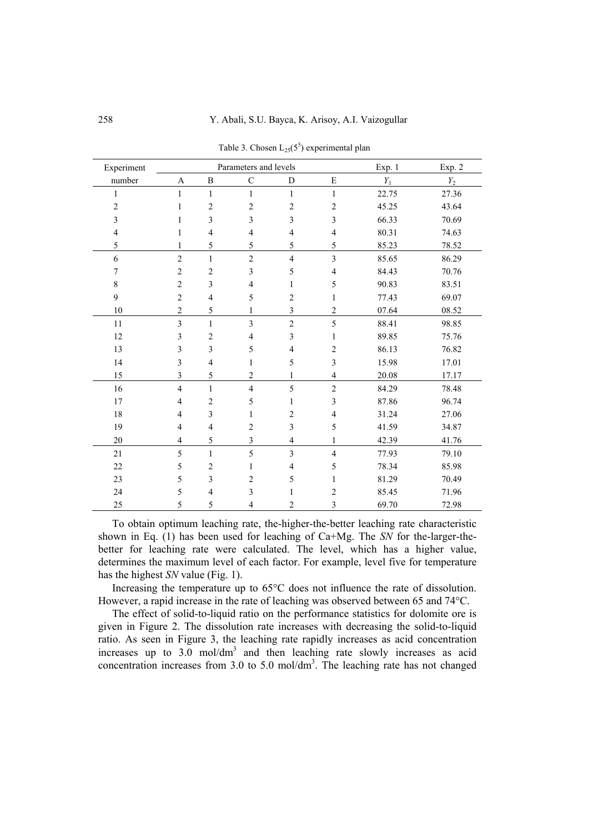| Experiment              |                         |                | Parameters and levels    |                         |                         | Exp. 1 | Exp. 2 |
|-------------------------|-------------------------|----------------|--------------------------|-------------------------|-------------------------|--------|--------|
| number                  | A                       | B              | $\mathbf C$              | D                       | E                       | $Y_1$  | $Y_2$  |
| 1                       | 1                       | 1              | $\mathbf{1}$             | $\mathbf{1}$            | 1                       | 22.75  | 27.36  |
| $\overline{c}$          | 1                       | $\overline{2}$ | $\overline{c}$           | $\overline{c}$          | $\overline{c}$          | 45.25  | 43.64  |
| $\overline{\mathbf{3}}$ | 1                       | $\mathfrak{Z}$ | 3                        | 3                       | 3                       | 66.33  | 70.69  |
| $\overline{4}$          | 1                       | $\overline{4}$ | $\overline{4}$           | $\overline{4}$          | $\overline{4}$          | 80.31  | 74.63  |
| 5                       | 1                       | 5              | 5                        | 5                       | 5                       | 85.23  | 78.52  |
| 6                       | $\overline{c}$          | $\mathbf{1}$   | $\overline{c}$           | $\overline{\mathbf{4}}$ | $\overline{\mathbf{3}}$ | 85.65  | 86.29  |
| 7                       | $\overline{c}$          | $\overline{c}$ | $\overline{\mathbf{3}}$  | 5                       | $\overline{\mathbf{4}}$ | 84.43  | 70.76  |
| $\,$ 8 $\,$             | $\overline{c}$          | 3              | $\overline{\mathcal{A}}$ | 1                       | 5                       | 90.83  | 83.51  |
| 9                       | $\overline{c}$          | $\overline{4}$ | 5                        | $\overline{c}$          | 1                       | 77.43  | 69.07  |
| $10\,$                  | $\overline{c}$          | 5              | $\mathbf{1}$             | $\overline{\mathbf{3}}$ | $\overline{c}$          | 07.64  | 08.52  |
| 11                      | $\overline{3}$          | $\mathbf{1}$   | $\overline{3}$           | $\overline{2}$          | 5                       | 88.41  | 98.85  |
| 12                      | 3                       | $\overline{c}$ | $\overline{4}$           | $\overline{\mathbf{3}}$ | $\mathbf{1}$            | 89.85  | 75.76  |
| 13                      | 3                       | 3              | 5                        | $\overline{4}$          | $\boldsymbol{2}$        | 86.13  | 76.82  |
| 14                      | 3                       | $\overline{4}$ | $\mathbf{1}$             | 5                       | 3                       | 15.98  | 17.01  |
| 15                      | 3                       | 5              | $\overline{c}$           | 1                       | $\overline{\mathbf{4}}$ | 20.08  | 17.17  |
| 16                      | $\overline{4}$          | $\mathbf{1}$   | $\overline{4}$           | 5                       | $\overline{2}$          | 84.29  | 78.48  |
| 17                      | $\overline{4}$          | $\overline{2}$ | 5                        | 1                       | 3                       | 87.86  | 96.74  |
| 18                      | $\overline{4}$          | $\overline{3}$ | $\mathbf{1}$             | $\overline{c}$          | $\overline{4}$          | 31.24  | 27.06  |
| 19                      | $\overline{4}$          | $\overline{4}$ | $\overline{c}$           | 3                       | 5                       | 41.59  | 34.87  |
| 20                      | $\overline{\mathbf{4}}$ | 5              | 3                        | $\overline{\mathbf{4}}$ | $\mathbf{1}$            | 42.39  | 41.76  |
| 21                      | 5                       | $\mathbf{1}$   | 5                        | $\overline{3}$          | $\overline{4}$          | 77.93  | 79.10  |
| 22                      | 5                       | $\overline{c}$ | $\mathbf{1}$             | $\overline{4}$          | 5                       | 78.34  | 85.98  |
| 23                      | 5                       | 3              | $\overline{c}$           | 5                       | 1                       | 81.29  | 70.49  |
| 24                      | 5                       | $\overline{4}$ | 3                        | 1                       | $\overline{c}$          | 85.45  | 71.96  |
| 25                      | 5                       | 5              | 4                        | 2                       | 3                       | 69.70  | 72.98  |

Table 3. Chosen  $L_{25}(5^5)$  experimental plan

To obtain optimum leaching rate, the-higher-the-better leaching rate characteristic shown in Eq. (1) has been used for leaching of Ca+Mg. The *SN* for the-larger-thebetter for leaching rate were calculated. The level, which has a higher value, determines the maximum level of each factor. For example, level five for temperature has the highest *SN* value (Fig. 1).

Increasing the temperature up to 65°C does not influence the rate of dissolution. However, a rapid increase in the rate of leaching was observed between 65 and 74°C.

The effect of solid-to-liquid ratio on the performance statistics for dolomite ore is given in Figure 2. The dissolution rate increases with decreasing the solid-to-liquid ratio. As seen in Figure 3, the leaching rate rapidly increases as acid concentration increases up to  $3.0 \text{ mol/dm}^3$  and then leaching rate slowly increases as acid concentration increases from  $3.0$  to  $5.0$  mol/dm<sup>3</sup>. The leaching rate has not changed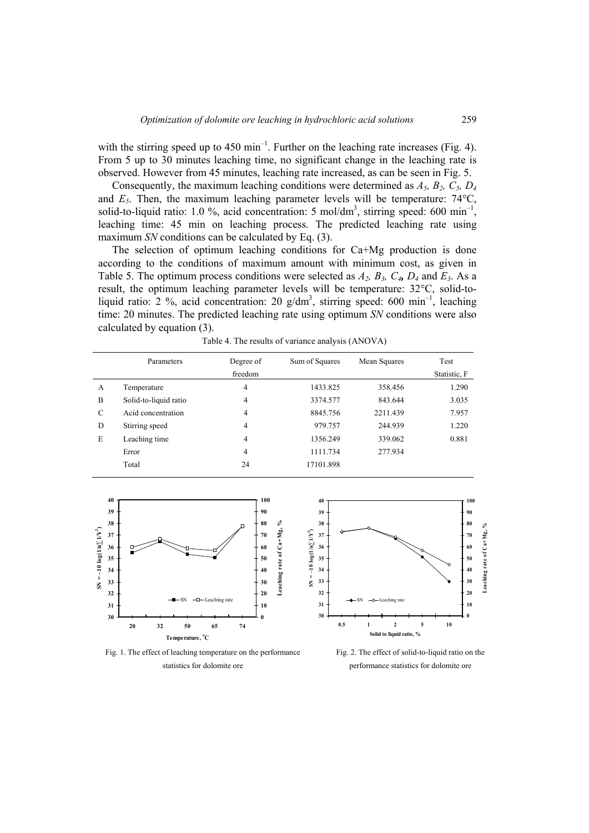with the stirring speed up to  $450 \text{ min}^{-1}$ . Further on the leaching rate increases (Fig. 4). From 5 up to 30 minutes leaching time, no significant change in the leaching rate is observed. However from 45 minutes, leaching rate increased, as can be seen in Fig. 5.

Consequently, the maximum leaching conditions were determined as *A5, B2, C5, D4* and  $E_5$ . Then, the maximum leaching parameter levels will be temperature:  $74^{\circ}$ C, solid-to-liquid ratio: 1.0 %, acid concentration: 5 mol/dm<sup>3</sup>, stirring speed: 600 min<sup>-1</sup>, leaching time: 45 min on leaching process. The predicted leaching rate using maximum *SN* conditions can be calculated by Eq. (3).

The selection of optimum leaching conditions for Ca+Mg production is done according to the conditions of maximum amount with minimum cost, as given in Table 5. The optimum process conditions were selected as  $A_2$ ,  $B_3$ ,  $C_4$ ,  $D_4$  and  $E_3$ . As a result, the optimum leaching parameter levels will be temperature: 32°C, solid-toliquid ratio: 2 %, acid concentration: 20  $g/dm^3$ , stirring speed: 600 min<sup>-1</sup>, leaching time: 20 minutes. The predicted leaching rate using optimum *SN* conditions were also calculated by equation (3).

|   | Parameters            | Degree of<br>freedom | Sum of Squares | Mean Squares | Test<br>Statistic, F |
|---|-----------------------|----------------------|----------------|--------------|----------------------|
| A | Temperature           | 4                    | 1433.825       | 358.456      | 1.290                |
| B | Solid-to-liquid ratio | 4                    | 3374.577       | 843.644      | 3.035                |
| C | Acid concentration    | 4                    | 8845.756       | 2211.439     | 7.957                |
| D | Stirring speed        | 4                    | 979.757        | 244.939      | 1.220                |
| E | Leaching time         | 4                    | 1356.249       | 339.062      | 0.881                |
|   | Error                 | 4                    | 1111.734       | 277.934      |                      |
|   | Total                 | 24                   | 17101.898      |              |                      |

Table 4. The results of variance analysis (ANOVA)





Fig. 1. The effect of leaching temperature on the performance statistics for dolomite ore

Fig. 2. The effect of solid-to-liquid ratio on the performance statistics for dolomite ore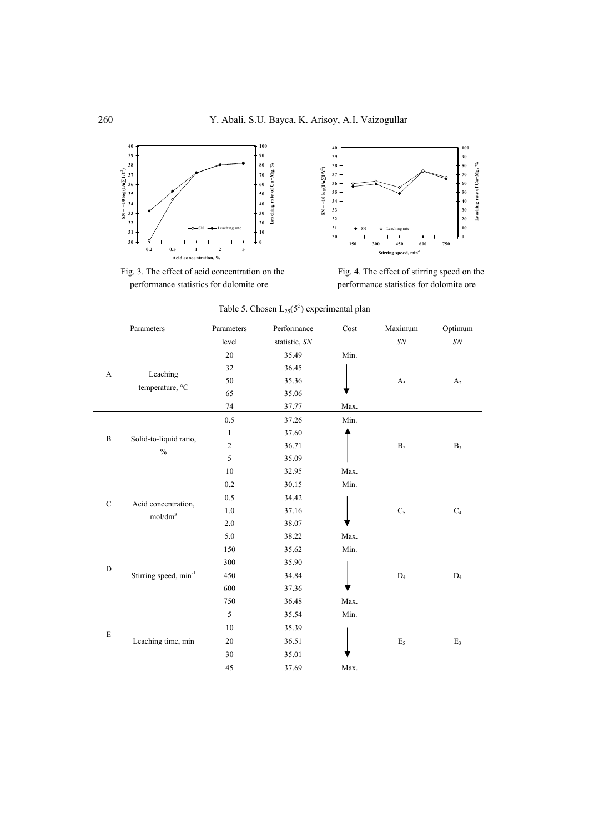

Fig. 3. The effect of acid concentration on the performance statistics for dolomite ore



Fig. 4. The effect of stirring speed on the performance statistics for dolomite ore

|              | Parameters                                 | Parameters   | Performance   | Cost | Maximum        | Optimum        |
|--------------|--------------------------------------------|--------------|---------------|------|----------------|----------------|
|              |                                            | level        | statistic, SN |      | ${\cal SN}$    | ${\cal SN}$    |
| A            |                                            | 20           | 35.49         | Min. |                |                |
|              |                                            | 32           | 36.45         |      |                |                |
|              | Leaching<br>temperature, °C                | 50           | 35.36         |      | A <sub>5</sub> | A <sub>2</sub> |
|              |                                            | 65           | 35.06         |      |                |                |
|              |                                            | 74           | 37.77         | Max. |                |                |
|              |                                            | 0.5          | 37.26         | Min. |                |                |
|              |                                            | $\mathbf{1}$ | 37.60         |      |                |                |
| $\, {\bf B}$ | Solid-to-liquid ratio,<br>$\%$             | $\sqrt{2}$   | 36.71         |      | B <sub>2</sub> | $B_3$          |
|              |                                            | 5            | 35.09         |      |                |                |
|              |                                            | 10           | 32.95         | Max. |                |                |
|              |                                            | 0.2          | 30.15         | Min. |                |                |
|              |                                            | 0.5          | 34.42         |      |                |                |
| $\mathbf C$  | Acid concentration,<br>mol/dm <sup>3</sup> | 1.0          | 37.16         |      | $C_5$          | $C_4$          |
|              |                                            | $2.0\,$      | 38.07         |      |                |                |
|              |                                            | $5.0\,$      | 38.22         | Max. |                |                |
|              | Stirring speed, min <sup>-1</sup>          | 150          | 35.62         | Min. |                |                |
| $\mathbf D$  |                                            | 300          | 35.90         |      |                |                |
|              |                                            | 450          | 34.84         |      | $D_4$          | $D_4$          |
|              |                                            | 600          | 37.36         |      |                |                |
|              |                                            | 750          | 36.48         | Max. |                |                |
| E            |                                            | 5            | 35.54         | Min. |                |                |
|              |                                            | 10           | 35.39         |      |                |                |
|              | Leaching time, min                         | 20           | 36.51         |      | $E_5$          | $E_3$          |
|              |                                            | 30           | 35.01         |      |                |                |
|              |                                            | 45           | 37.69         | Max. |                |                |

Table 5. Chosen  $L_{25}(5^5)$  experimental plan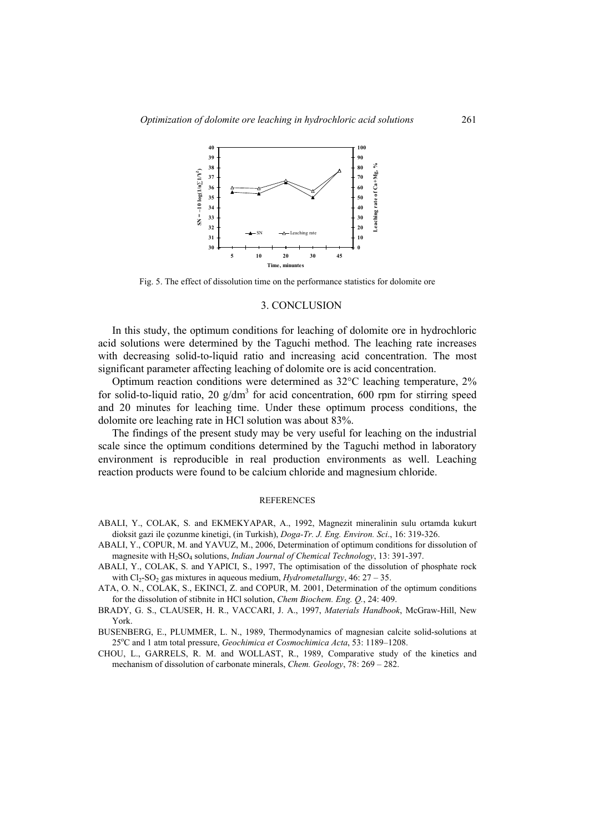

Fig. 5. The effect of dissolution time on the performance statistics for dolomite ore

#### 3. CONCLUSION

In this study, the optimum conditions for leaching of dolomite ore in hydrochloric acid solutions were determined by the Taguchi method. The leaching rate increases with decreasing solid-to-liquid ratio and increasing acid concentration. The most significant parameter affecting leaching of dolomite ore is acid concentration.

Optimum reaction conditions were determined as 32°C leaching temperature, 2% for solid-to-liquid ratio, 20  $g/dm<sup>3</sup>$  for acid concentration, 600 rpm for stirring speed and 20 minutes for leaching time. Under these optimum process conditions, the dolomite ore leaching rate in HCl solution was about 83%.

The findings of the present study may be very useful for leaching on the industrial scale since the optimum conditions determined by the Taguchi method in laboratory environment is reproducible in real production environments as well. Leaching reaction products were found to be calcium chloride and magnesium chloride.

#### **REFERENCES**

- ABALI, Y., COLAK, S. and EKMEKYAPAR, A., 1992, Magnezit mineralinin sulu ortamda kukurt dioksit gazi ile çozunme kinetigi, (in Turkish), *Doga-Tr. J. Eng. Environ. Sci*., 16: 319-326.
- ABALI, Y., COPUR, M. and YAVUZ, M., 2006, Determination of optimum conditions for dissolution of magnesite with H2SO4 solutions, *Indian Journal of Chemical Technology*, 13: 391-397.
- ABALI, Y., COLAK, S. and YAPICI, S., 1997, The optimisation of the dissolution of phosphate rock with  $Cl_2$ -SO<sub>2</sub> gas mixtures in aqueous medium, *Hydrometallurgy*, 46: 27 – 35.
- ATA, O. N., COLAK, S., EKINCI, Z. and COPUR, M. 2001, Determination of the optimum conditions for the dissolution of stibnite in HCl solution, *Chem Biochem. Eng. Q.*, 24: 409.
- BRADY, G. S., CLAUSER, H. R., VACCARI, J. A., 1997, *Materials Handbook*, McGraw-Hill, New York.
- BUSENBERG, E., PLUMMER, L. N., 1989, Thermodynamics of magnesian calcite solid-solutions at 25°C and 1 atm total pressure, *Geochimica et Cosmochimica Acta*, 53: 1189-1208.
- CHOU, L., GARRELS, R. M. and WOLLAST, R., 1989, Comparative study of the kinetics and mechanism of dissolution of carbonate minerals, *Chem. Geology*, 78: 269 – 282.